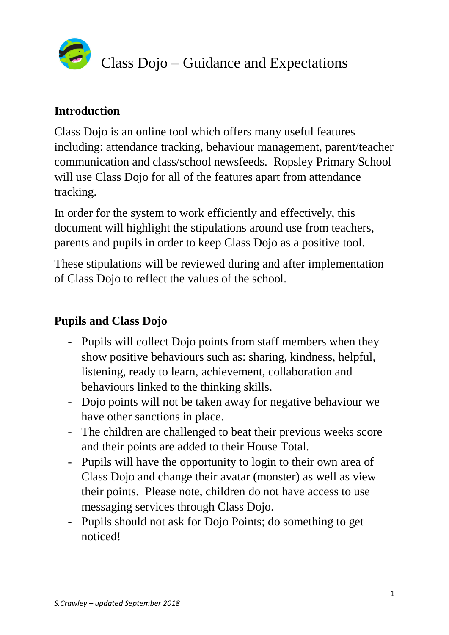

## **Introduction**

Class Dojo is an online tool which offers many useful features including: attendance tracking, behaviour management, parent/teacher communication and class/school newsfeeds. Ropsley Primary School will use Class Dojo for all of the features apart from attendance tracking.

In order for the system to work efficiently and effectively, this document will highlight the stipulations around use from teachers, parents and pupils in order to keep Class Dojo as a positive tool.

These stipulations will be reviewed during and after implementation of Class Dojo to reflect the values of the school.

## **Pupils and Class Dojo**

- Pupils will collect Dojo points from staff members when they show positive behaviours such as: sharing, kindness, helpful, listening, ready to learn, achievement, collaboration and behaviours linked to the thinking skills.
- Dojo points will not be taken away for negative behaviour we have other sanctions in place.
- The children are challenged to beat their previous weeks score and their points are added to their House Total.
- Pupils will have the opportunity to login to their own area of Class Dojo and change their avatar (monster) as well as view their points. Please note, children do not have access to use messaging services through Class Dojo.
- Pupils should not ask for Dojo Points; do something to get noticed!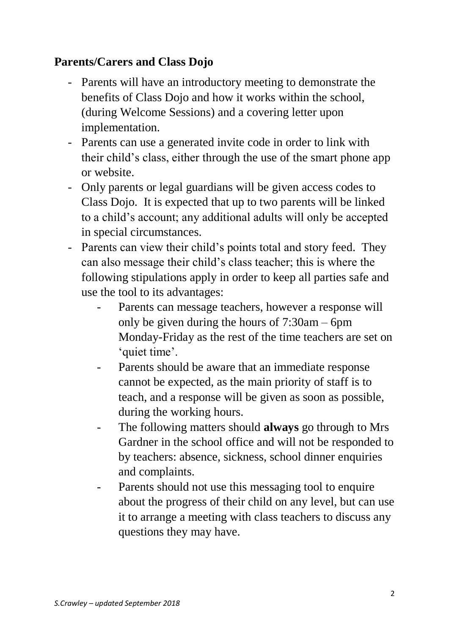## **Parents/Carers and Class Dojo**

- Parents will have an introductory meeting to demonstrate the benefits of Class Dojo and how it works within the school, (during Welcome Sessions) and a covering letter upon implementation.
- Parents can use a generated invite code in order to link with their child's class, either through the use of the smart phone app or website.
- Only parents or legal guardians will be given access codes to Class Dojo. It is expected that up to two parents will be linked to a child's account; any additional adults will only be accepted in special circumstances.
- Parents can view their child's points total and story feed. They can also message their child's class teacher; this is where the following stipulations apply in order to keep all parties safe and use the tool to its advantages:
	- Parents can message teachers, however a response will only be given during the hours of 7:30am – 6pm Monday-Friday as the rest of the time teachers are set on 'quiet time'.
	- Parents should be aware that an immediate response cannot be expected, as the main priority of staff is to teach, and a response will be given as soon as possible, during the working hours.
	- The following matters should **always** go through to Mrs Gardner in the school office and will not be responded to by teachers: absence, sickness, school dinner enquiries and complaints.
	- Parents should not use this messaging tool to enquire about the progress of their child on any level, but can use it to arrange a meeting with class teachers to discuss any questions they may have.